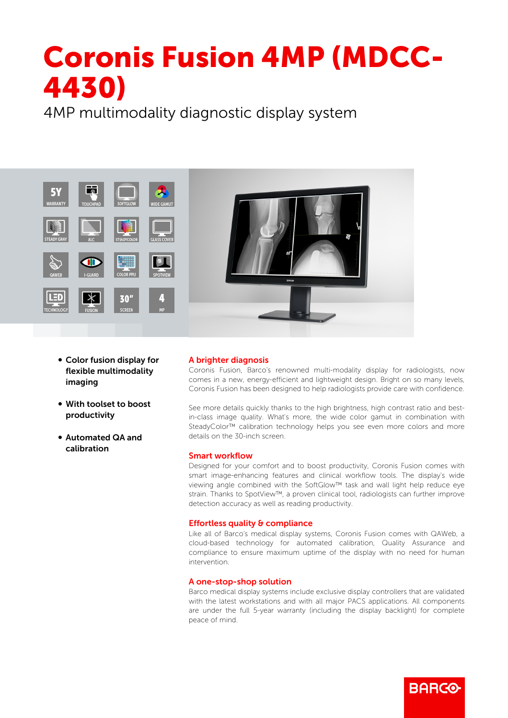# Coronis Fusion 4MP (MDCC-4430)

4MP multimodality diagnostic display system



- Color fusion display for flexible multimodality imaging
- With toolset to boost productivity
- b Automated QA and calibration

## A brighter diagnosis

Coronis Fusion, Barco's renowned multi-modality display for radiologists, now comes in a new, energy-efficient and lightweight design. Bright on so many levels, Coronis Fusion has been designed to help radiologists provide care with confidence.

See more details quickly thanks to the high brightness, high contrast ratio and bestin-class image quality. What's more, the wide color gamut in combination with SteadyColor™ calibration technology helps you see even more colors and more details on the 30-inch screen.

## Smart workflow

Designed for your comfort and to boost productivity, Coronis Fusion comes with smart image-enhancing features and clinical workflow tools. The display's wide viewing angle combined with the SoftGlow™ task and wall light help reduce eye strain. Thanks to SpotView™, a proven clinical tool, radiologists can further improve detection accuracy as well as reading productivity.

## Effortless quality & compliance

Like all of Barco's medical display systems, Coronis Fusion comes with QAWeb, a cloud-based technology for automated calibration, Quality Assurance and compliance to ensure maximum uptime of the display with no need for human intervention.

#### A one-stop-shop solution

Barco medical display systems include exclusive display controllers that are validated with the latest workstations and with all major PACS applications. All components are under the full 5-year warranty (including the display backlight) for complete peace of mind.

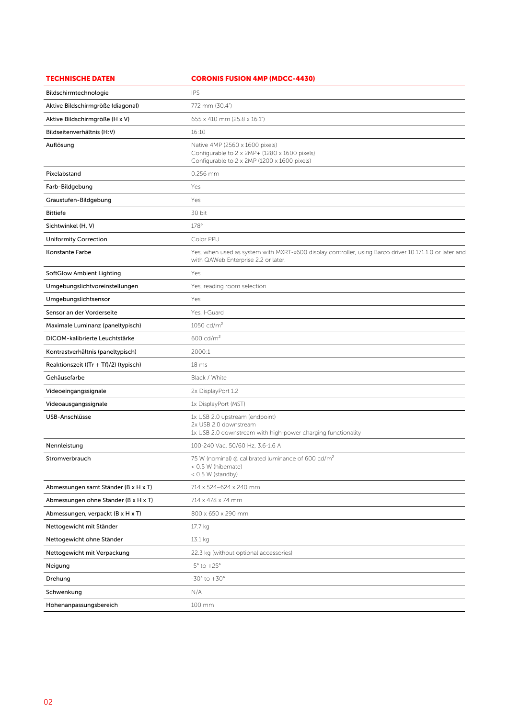| <b>TECHNISCHE DATEN</b>               | <b>CORONIS FUSION 4MP (MDCC-4430)</b>                                                                                                         |
|---------------------------------------|-----------------------------------------------------------------------------------------------------------------------------------------------|
| Bildschirmtechnologie                 | <b>IPS</b>                                                                                                                                    |
| Aktive Bildschirmgröße (diagonal)     | 772 mm (30.4")                                                                                                                                |
| Aktive Bildschirmgröße (H x V)        | 655 x 410 mm (25.8 x 16.1")                                                                                                                   |
| Bildseitenverhältnis (H:V)            | 16:10                                                                                                                                         |
| Auflösung                             | Native 4MP (2560 x 1600 pixels)<br>Configurable to 2 x 2MP+ (1280 x 1600 pixels)<br>Configurable to 2 x 2MP (1200 x 1600 pixels)              |
| Pixelabstand                          | 0.256 mm                                                                                                                                      |
| Farb-Bildgebung                       | Yes                                                                                                                                           |
| Graustufen-Bildgebung                 | Yes                                                                                                                                           |
| <b>Bittiefe</b>                       | 30 bit                                                                                                                                        |
| Sichtwinkel (H, V)                    | 178°                                                                                                                                          |
| <b>Uniformity Correction</b>          | Color PPU                                                                                                                                     |
| Konstante Farbe                       | Yes, when used as system with MXRT-x600 display controller, using Barco driver 10.171.1.0 or later and<br>with QAWeb Enterprise 2.2 or later. |
| SoftGlow Ambient Lighting             | Yes                                                                                                                                           |
| Umgebungslichtvoreinstellungen        | Yes, reading room selection                                                                                                                   |
| Umgebungslichtsensor                  | Yes                                                                                                                                           |
| Sensor an der Vorderseite             | Yes, I-Guard                                                                                                                                  |
| Maximale Luminanz (paneltypisch)      | 1050 cd/ $m^2$                                                                                                                                |
| DICOM-kalibrierte Leuchtstärke        | $600 \text{ cd/m}^2$                                                                                                                          |
| Kontrastverhältnis (paneltypisch)     | 2000:1                                                                                                                                        |
| Reaktionszeit ((Tr + Tf)/2) (typisch) | 18 <sub>ms</sub>                                                                                                                              |
| Gehäusefarbe                          | Black / White                                                                                                                                 |
| Videoeingangssignale                  | 2x DisplayPort 1.2                                                                                                                            |
| Videoausgangssignale                  | 1x DisplayPort (MST)                                                                                                                          |
| USB-Anschlüsse                        | 1x USB 2.0 upstream (endpoint)<br>2x USB 2.0 downstream<br>1x USB 2.0 downstream with high-power charging functionality                       |
| Nennleistung                          | 100-240 Vac, 50/60 Hz, 3.6-1.6 A                                                                                                              |
| Stromverbrauch                        | 75 W (nominal) @ calibrated luminance of 600 cd/m <sup>2</sup><br>< 0.5 W (hibernate)<br>< 0.5 W (standby)                                    |
| Abmessungen samt Ständer (B x H x T)  | 714 x 524~624 x 240 mm                                                                                                                        |
| Abmessungen ohne Ständer (B x H x T)  | 714 x 478 x 74 mm                                                                                                                             |
| Abmessungen, verpackt (B x H x T)     | 800 x 650 x 290 mm                                                                                                                            |
| Nettogewicht mit Ständer              | 17.7 kg                                                                                                                                       |
| Nettogewicht ohne Ständer             | 13.1 kg                                                                                                                                       |
| Nettogewicht mit Verpackung           | 22.3 kg (without optional accessories)                                                                                                        |
| Neigung                               | $-5^\circ$ to $+25^\circ$                                                                                                                     |
| Drehung                               | $-30^\circ$ to $+30^\circ$                                                                                                                    |
| Schwenkung                            | N/A                                                                                                                                           |
| Höhenanpassungsbereich                | 100 mm                                                                                                                                        |